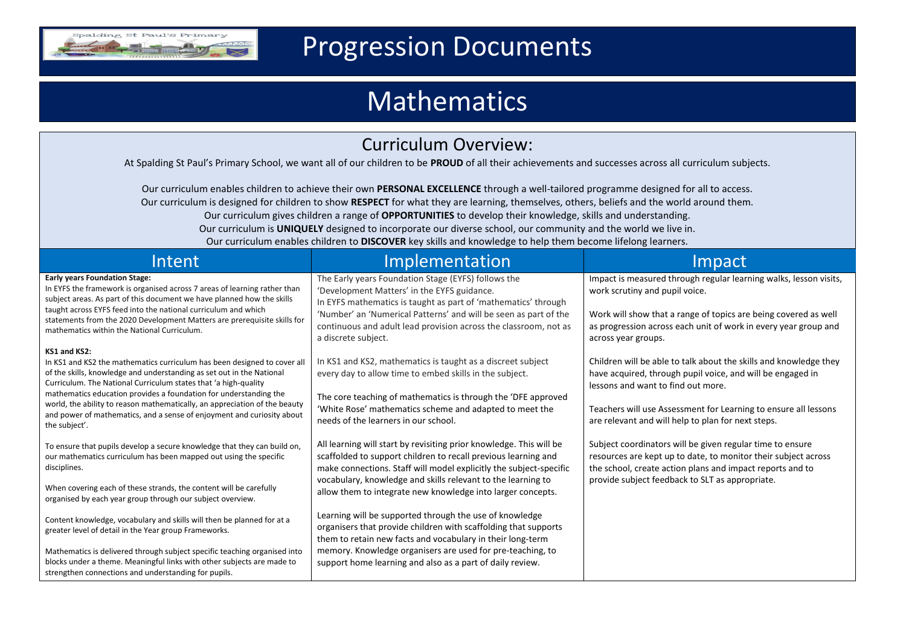

# Progression Documents

# Mathematics

| <b>Curriculum Overview:</b><br>At Spalding St Paul's Primary School, we want all of our children to be PROUD of all their achievements and successes across all curriculum subjects.<br>Our curriculum enables children to achieve their own PERSONAL EXCELLENCE through a well-tailored programme designed for all to access.<br>Our curriculum is designed for children to show RESPECT for what they are learning, themselves, others, beliefs and the world around them.<br>Our curriculum gives children a range of OPPORTUNITIES to develop their knowledge, skills and understanding.<br>Our curriculum is UNIQUELY designed to incorporate our diverse school, our community and the world we live in.<br>Our curriculum enables children to DISCOVER key skills and knowledge to help them become lifelong learners. |                                                                                                                                                                                                                                                                                            |                                                                                                                                                                                                                                                                                                |                                                                                                                                                                                                                                                                                                                                                                                          |                                                                                                                                                                                                                                                                                                                                     |                                                                                                                                                                                                                                                                  |
|-------------------------------------------------------------------------------------------------------------------------------------------------------------------------------------------------------------------------------------------------------------------------------------------------------------------------------------------------------------------------------------------------------------------------------------------------------------------------------------------------------------------------------------------------------------------------------------------------------------------------------------------------------------------------------------------------------------------------------------------------------------------------------------------------------------------------------|--------------------------------------------------------------------------------------------------------------------------------------------------------------------------------------------------------------------------------------------------------------------------------------------|------------------------------------------------------------------------------------------------------------------------------------------------------------------------------------------------------------------------------------------------------------------------------------------------|------------------------------------------------------------------------------------------------------------------------------------------------------------------------------------------------------------------------------------------------------------------------------------------------------------------------------------------------------------------------------------------|-------------------------------------------------------------------------------------------------------------------------------------------------------------------------------------------------------------------------------------------------------------------------------------------------------------------------------------|------------------------------------------------------------------------------------------------------------------------------------------------------------------------------------------------------------------------------------------------------------------|
|                                                                                                                                                                                                                                                                                                                                                                                                                                                                                                                                                                                                                                                                                                                                                                                                                               |                                                                                                                                                                                                                                                                                            |                                                                                                                                                                                                                                                                                                | Intent                                                                                                                                                                                                                                                                                                                                                                                   | Implementation                                                                                                                                                                                                                                                                                                                      | Impact                                                                                                                                                                                                                                                           |
|                                                                                                                                                                                                                                                                                                                                                                                                                                                                                                                                                                                                                                                                                                                                                                                                                               |                                                                                                                                                                                                                                                                                            |                                                                                                                                                                                                                                                                                                | <b>Early years Foundation Stage:</b><br>In EYFS the framework is organised across 7 areas of learning rather than<br>subject areas. As part of this document we have planned how the skills<br>taught across EYFS feed into the national curriculum and which<br>statements from the 2020 Development Matters are prerequisite skills for<br>mathematics within the National Curriculum. | The Early years Foundation Stage (EYFS) follows the<br>'Development Matters' in the EYFS guidance.<br>In EYFS mathematics is taught as part of 'mathematics' through<br>'Number' an 'Numerical Patterns' and will be seen as part of the<br>continuous and adult lead provision across the classroom, not as<br>a discrete subject. | Impact is measured through regular learning walks, lesson visits,<br>work scrutiny and pupil voice.<br>Work will show that a range of topics are being covered as well<br>as progression across each unit of work in every year group and<br>across year groups. |
| KS1 and KS2:<br>In KS1 and KS2 the mathematics curriculum has been designed to cover all<br>of the skills, knowledge and understanding as set out in the National<br>Curriculum. The National Curriculum states that 'a high-quality<br>mathematics education provides a foundation for understanding the<br>world, the ability to reason mathematically, an appreciation of the beauty<br>and power of mathematics, and a sense of enjoyment and curiosity about<br>the subject'.                                                                                                                                                                                                                                                                                                                                            | In KS1 and KS2, mathematics is taught as a discreet subject<br>every day to allow time to embed skills in the subject.<br>The core teaching of mathematics is through the 'DFE approved<br>'White Rose' mathematics scheme and adapted to meet the<br>needs of the learners in our school. | Children will be able to talk about the skills and knowledge they<br>have acquired, through pupil voice, and will be engaged in<br>lessons and want to find out more.<br>Teachers will use Assessment for Learning to ensure all lessons<br>are relevant and will help to plan for next steps. |                                                                                                                                                                                                                                                                                                                                                                                          |                                                                                                                                                                                                                                                                                                                                     |                                                                                                                                                                                                                                                                  |
| To ensure that pupils develop a secure knowledge that they can build on,<br>our mathematics curriculum has been mapped out using the specific<br>disciplines.                                                                                                                                                                                                                                                                                                                                                                                                                                                                                                                                                                                                                                                                 | All learning will start by revisiting prior knowledge. This will be<br>scaffolded to support children to recall previous learning and<br>make connections. Staff will model explicitly the subject-specific<br>vocabulary, knowledge and skills relevant to the learning to                | Subject coordinators will be given regular time to ensure<br>resources are kept up to date, to monitor their subject across<br>the school, create action plans and impact reports and to<br>provide subject feedback to SLT as appropriate.                                                    |                                                                                                                                                                                                                                                                                                                                                                                          |                                                                                                                                                                                                                                                                                                                                     |                                                                                                                                                                                                                                                                  |
| When covering each of these strands, the content will be carefully<br>organised by each year group through our subject overview.                                                                                                                                                                                                                                                                                                                                                                                                                                                                                                                                                                                                                                                                                              | allow them to integrate new knowledge into larger concepts.                                                                                                                                                                                                                                |                                                                                                                                                                                                                                                                                                |                                                                                                                                                                                                                                                                                                                                                                                          |                                                                                                                                                                                                                                                                                                                                     |                                                                                                                                                                                                                                                                  |
| Content knowledge, vocabulary and skills will then be planned for at a<br>greater level of detail in the Year group Frameworks.                                                                                                                                                                                                                                                                                                                                                                                                                                                                                                                                                                                                                                                                                               | Learning will be supported through the use of knowledge<br>organisers that provide children with scaffolding that supports<br>them to retain new facts and vocabulary in their long-term                                                                                                   |                                                                                                                                                                                                                                                                                                |                                                                                                                                                                                                                                                                                                                                                                                          |                                                                                                                                                                                                                                                                                                                                     |                                                                                                                                                                                                                                                                  |
| Mathematics is delivered through subject specific teaching organised into<br>blocks under a theme. Meaningful links with other subjects are made to<br>strengthen connections and understanding for pupils.                                                                                                                                                                                                                                                                                                                                                                                                                                                                                                                                                                                                                   | memory. Knowledge organisers are used for pre-teaching, to<br>support home learning and also as a part of daily review.                                                                                                                                                                    |                                                                                                                                                                                                                                                                                                |                                                                                                                                                                                                                                                                                                                                                                                          |                                                                                                                                                                                                                                                                                                                                     |                                                                                                                                                                                                                                                                  |